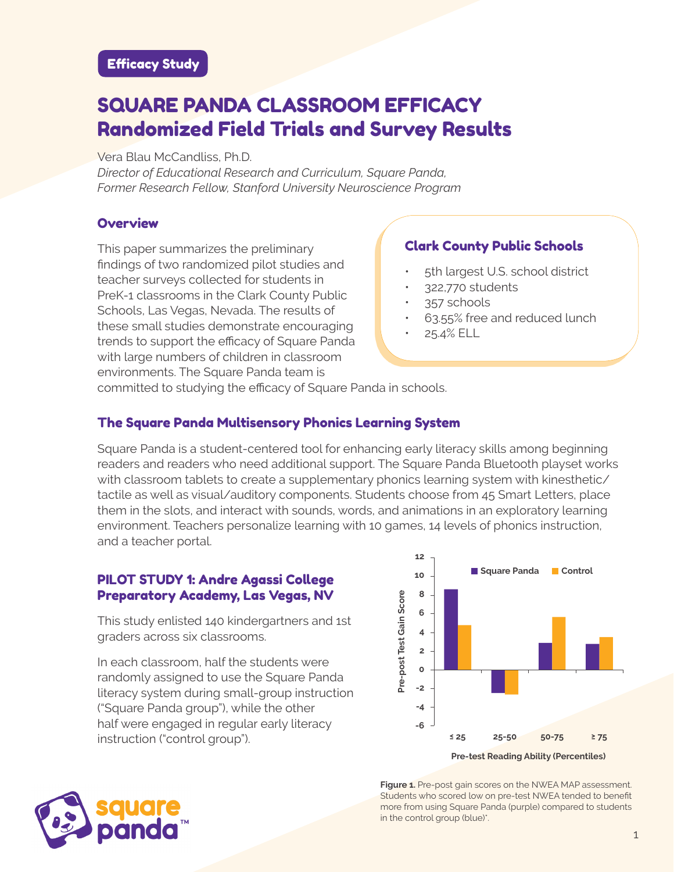# SQUARE PANDA CLASSROOM EFFICACY Randomized Field Trials and Survey Results

Vera Blau McCandliss, Ph.D.

*Director of Educational Research and Curriculum, Square Panda, Former Research Fellow, Stanford University Neuroscience Program*

#### **Overview**

This paper summarizes the preliminary findings of two randomized pilot studies and teacher surveys collected for students in PreK-1 classrooms in the Clark County Public Schools, Las Vegas, Nevada. The results of these small studies demonstrate encouraging trends to support the efficacy of Square Panda with large numbers of children in classroom environments. The Square Panda team is

## Clark County Public Schools

- 5th largest U.S. school district
- 322,770 students
- 357 schools
- 63.55% free and reduced lunch
- 25.4% ELL

committed to studying the efficacy of Square Panda in schools.

#### The Square Panda Multisensory Phonics Learning System

Square Panda is a student-centered tool for enhancing early literacy skills among beginning readers and readers who need additional support. The Square Panda Bluetooth playset works with classroom tablets to create a supplementary phonics learning system with kinesthetic/ tactile as well as visual/auditory components. Students choose from 45 Smart Letters, place them in the slots, and interact with sounds, words, and animations in an exploratory learning environment. Teachers personalize learning with 10 games, 14 levels of phonics instruction, and a teacher portal.

#### PILOT STUDY 1: Andre Agassi College Preparatory Academy, Las Vegas, NV

This study enlisted 140 kindergartners and 1st graders across six classrooms.

In each classroom, half the students were randomly assigned to use the Square Panda literacy system during small-group instruction ("Square Panda group"), while the other half were engaged in regular early literacy instruction ("control group").



**Figure 1.** Pre-post gain scores on the NWEA MAP assessment. Students who scored low on pre-test NWEA tended to benefit more from using Square Panda (purple) compared to students in the control group (blue)\*.

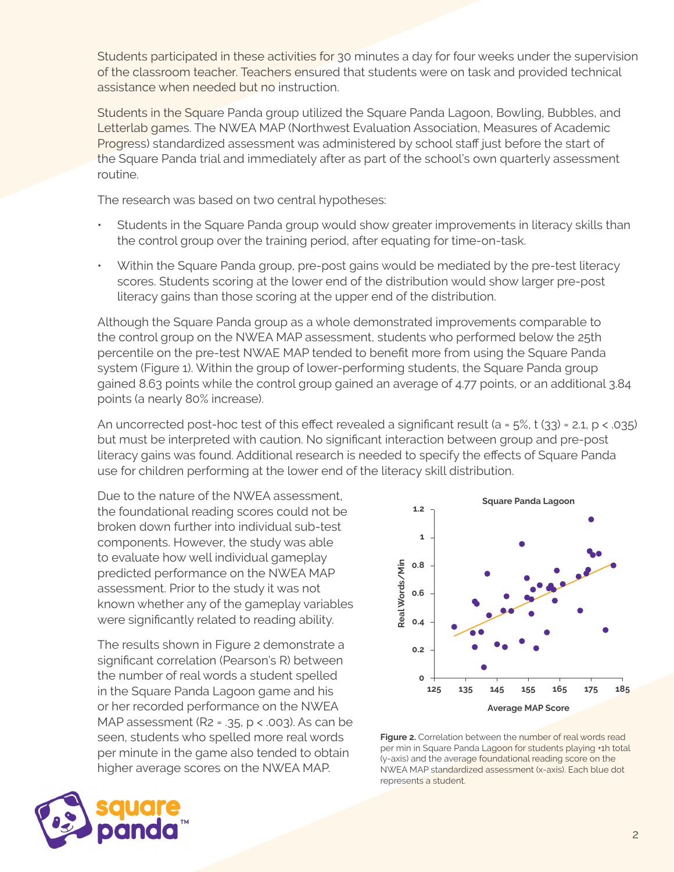Students participated in these activities for 30 minutes a day for four weeks under the supervision of the classroom teacher. Teachers ensured that students were on task and provided technical assistance when needed but no instruction.

Students in the Square Panda group utilized the Square Panda Lagoon, Bowling, Bubbles, and Letterlab games. The NWEA MAP (Northwest Evaluation Association, Measures of Academic Progress) standardized assessment was administered by school staff just before the start of the Square Panda trial and immediately after as part of the school's own quarterly assessment routine.

The research was based on two central hypotheses:

- Students in the Square Panda group would show greater improvements in literacy skills than the control group over the training period, after equating for time-on-task.
- Within the Square Panda group, pre-post gains would be mediated by the pre-test literacy scores. Students scoring at the lower end of the distribution would show larger pre-post literacy gains than those scoring at the upper end of the distribution.

Although the Square Panda group as a whole demonstrated improvements comparable to the control group on the NWEA MAP assessment, students who performed below the 25th percentile on the pre-test NWAE MAP tended to benefit more from using the Square Panda system (Figure 1). Within the group of lower-performing students, the Square Panda group gained 8.63 points while the control group gained an average of 4.77 points, or an additional 3.84 points (a nearly 80% increase).

An uncorrected post-hoc test of this effect revealed a significant result (a =  $5\%$ , t ( $33$ ) = 2.1, p < .035) but must be interpreted with caution. No significant interaction between group and pre-post literacy gains was found. Additional research is needed to specify the effects of Square Panda use for children performing at the lower end of the literacy skill distribution.

Due to the nature of the NWEA assessment, the foundational reading scores could not be broken down further into individual sub-test components. However, the study was able to evaluate how well individual gameplay predicted performance on the NWEA MAP assessment. Prior to the study it was not known whether any of the gameplay variables were significantly related to reading ability.

The results shown in Figure 2 demonstrate a significant correlation (Pearson's R) between the number of real words a student spelled in the Square Panda Lagoon game and his or her recorded performance on the NWEA MAP assessment (R2 = .35,  $p < .003$ ). As can be seen, students who spelled more real words per minute in the game also tended to obtain higher average scores on the NWEA MAP.



Figure 2. Correlation between the number of real words read per min in Square Panda Lagoon for students playing +1h total (y-axis) and the average foundational reading score on the NWEA MAP standardized assessment (x-axis). Each blue dot represents a student.

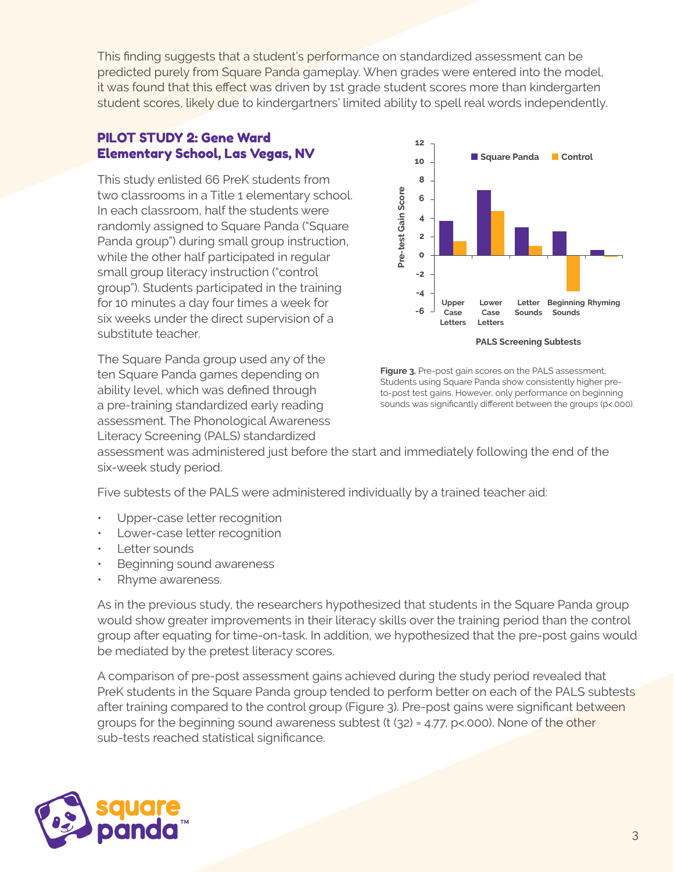This finding suggests that a student's performance on standardized assessment can be predicted purely from Square Panda gameplay. When grades were entered into the model, it was found that this effect was driven by 1st grade student scores more than kindergarten student scores, likely due to kindergartners' limited ability to spell real words independently.

#### PILOT STUDY 2: Gene Ward Elementary School, Las Vegas, NV

This study enlisted 66 PreK students from two classrooms in a Title 1 elementary school. In each classroom, half the students were randomly assigned to Square Panda ("Square Panda group") during small group instruction, while the other half participated in regular small group literacy instruction ("control group"). Students participated in the training for 10 minutes a day four times a week for six weeks under the direct supervision of a substitute teacher.

The Square Panda group used any of the ten Square Panda games depending on ability level, which was defined through a pre-training standardized early reading assessment. The Phonological Awareness Literacy Screening (PALS) standardized



**Figure 3.** Pre-post gain scores on the PALS assessment. Students using Square Panda show consistently higher preto-post test gains. However, only performance on beginning sounds was significantly different between the groups (p<.000).

assessment was administered just before the start and immediately following the end of the six-week study period.

Five subtests of the PALS were administered individually by a trained teacher aid:

- Upper-case letter recognition
- Lower-case letter recognition
- Letter sounds
- Beginning sound awareness
- Rhyme awareness.

As in the previous study, the researchers hypothesized that students in the Square Panda group would show greater improvements in their literacy skills over the training period than the control group after equating for time-on-task. In addition, we hypothesized that the pre-post gains would be mediated by the pretest literacy scores.

A comparison of pre-post assessment gains achieved during the study period revealed that PreK students in the Square Panda group tended to perform better on each of the PALS subtests after training compared to the control group (Figure 3). Pre-post gains were significant between groups for the beginning sound awareness subtest (t (32) = 4.77, p<.000). None of the other sub-tests reached statistical significance.

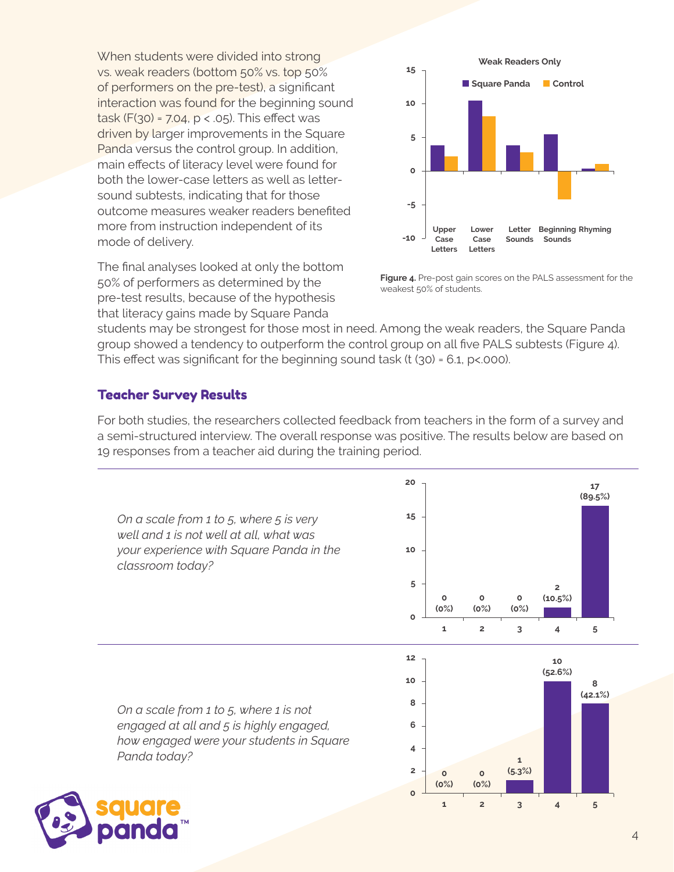When students were divided into strong vs. weak readers (bottom 50% vs. top 50% of performers on the pre-test), a significant interaction was found for the beginning sound task (F(30) = 7.04, p < .05). This effect was driven by larger improvements in the Square Panda versus the control group. In addition, main effects of literacy level were found for both the lower-case letters as well as lettersound subtests, indicating that for those outcome measures weaker readers benefited more from instruction independent of its mode of delivery.

The final analyses looked at only the bottom 50% of performers as determined by the pre-test results, because of the hypothesis that literacy gains made by Square Panda





students may be strongest for those most in need. Among the weak readers, the Square Panda group showed a tendency to outperform the control group on all five PALS subtests (Figure 4). This effect was significant for the beginning sound task  $(t (30) = 6.1, p < 000)$ .

### Teacher Survey Results

For both studies, the researchers collected feedback from teachers in the form of a survey and a semi-structured interview. The overall response was positive. The results below are based on 19 responses from a teacher aid during the training period.